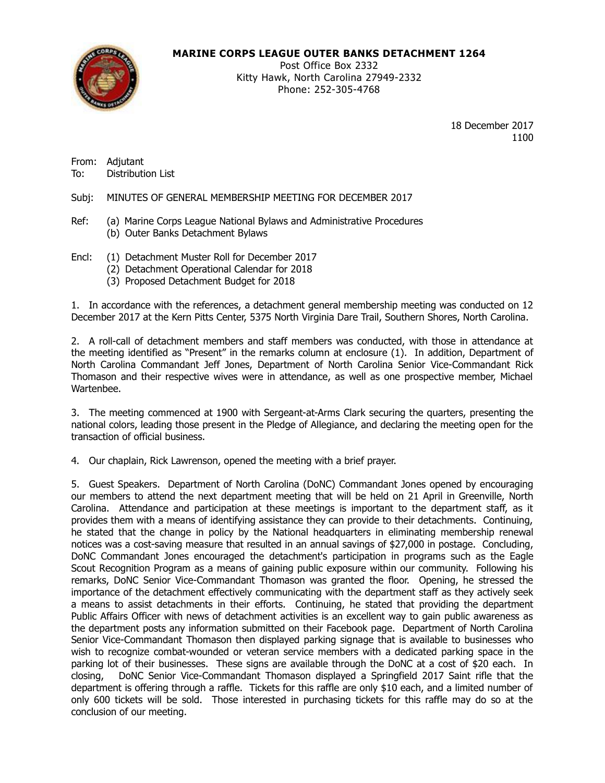**MARINE CORPS LEAGUE OUTER BANKS DETACHMENT 1264**



Post Office Box 2332 Kitty Hawk, North Carolina 27949-2332 Phone: 252-305-4768

> 18 December 2017 1100

From: Adjutant To: Distribution List

Subj: MINUTES OF GENERAL MEMBERSHIP MEETING FOR DECEMBER 2017

- Ref: (a) Marine Corps League National Bylaws and Administrative Procedures (b) Outer Banks Detachment Bylaws
- Encl: (1) Detachment Muster Roll for December 2017
	- (2) Detachment Operational Calendar for 2018
	- (3) Proposed Detachment Budget for 2018

1. In accordance with the references, a detachment general membership meeting was conducted on 12 December 2017 at the Kern Pitts Center, 5375 North Virginia Dare Trail, Southern Shores, North Carolina.

2. A roll-call of detachment members and staff members was conducted, with those in attendance at the meeting identified as "Present" in the remarks column at enclosure (1). In addition, Department of North Carolina Commandant Jeff Jones, Department of North Carolina Senior Vice-Commandant Rick Thomason and their respective wives were in attendance, as well as one prospective member, Michael Wartenbee.

3. The meeting commenced at 1900 with Sergeant-at-Arms Clark securing the quarters, presenting the national colors, leading those present in the Pledge of Allegiance, and declaring the meeting open for the transaction of official business.

4. Our chaplain, Rick Lawrenson, opened the meeting with a brief prayer.

5. Guest Speakers. Department of North Carolina (DoNC) Commandant Jones opened by encouraging our members to attend the next department meeting that will be held on 21 April in Greenville, North Carolina. Attendance and participation at these meetings is important to the department staff, as it provides them with a means of identifying assistance they can provide to their detachments. Continuing, he stated that the change in policy by the National headquarters in eliminating membership renewal notices was a cost-saving measure that resulted in an annual savings of \$27,000 in postage. Concluding, DoNC Commandant Jones encouraged the detachment's participation in programs such as the Eagle Scout Recognition Program as a means of gaining public exposure within our community. Following his remarks, DoNC Senior Vice-Commandant Thomason was granted the floor. Opening, he stressed the importance of the detachment effectively communicating with the department staff as they actively seek a means to assist detachments in their efforts. Continuing, he stated that providing the department Public Affairs Officer with news of detachment activities is an excellent way to gain public awareness as the department posts any information submitted on their Facebook page. Department of North Carolina Senior Vice-Commandant Thomason then displayed parking signage that is available to businesses who wish to recognize combat-wounded or veteran service members with a dedicated parking space in the parking lot of their businesses. These signs are available through the DoNC at a cost of \$20 each. In closing, DoNC Senior Vice-Commandant Thomason displayed a Springfield 2017 Saint rifle that the department is offering through a raffle. Tickets for this raffle are only \$10 each, and a limited number of only 600 tickets will be sold. Those interested in purchasing tickets for this raffle may do so at the conclusion of our meeting.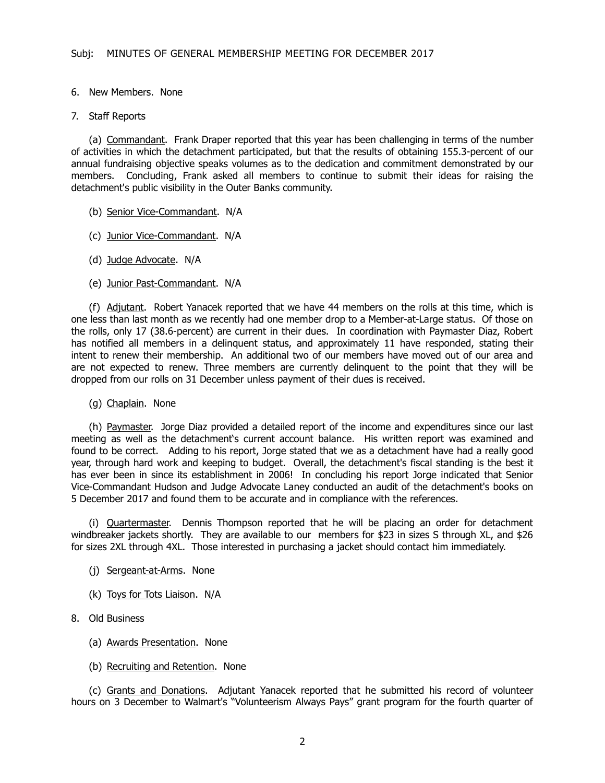6. New Members. None

#### 7. Staff Reports

(a) Commandant. Frank Draper reported that this year has been challenging in terms of the number of activities in which the detachment participated, but that the results of obtaining 155.3-percent of our annual fundraising objective speaks volumes as to the dedication and commitment demonstrated by our members. Concluding, Frank asked all members to continue to submit their ideas for raising the detachment's public visibility in the Outer Banks community.

- (b) Senior Vice-Commandant. N/A
- (c) Junior Vice-Commandant. N/A
- (d) Judge Advocate. N/A
- (e) Junior Past-Commandant. N/A

 (f) Adjutant. Robert Yanacek reported that we have 44 members on the rolls at this time, which is one less than last month as we recently had one member drop to a Member-at-Large status. Of those on the rolls, only 17 (38.6-percent) are current in their dues. In coordination with Paymaster Diaz, Robert has notified all members in a delinquent status, and approximately 11 have responded, stating their intent to renew their membership. An additional two of our members have moved out of our area and are not expected to renew. Three members are currently delinquent to the point that they will be dropped from our rolls on 31 December unless payment of their dues is received.

(g) Chaplain. None

(h) Paymaster. Jorge Diaz provided a detailed report of the income and expenditures since our last meeting as well as the detachment's current account balance. His written report was examined and found to be correct. Adding to his report, Jorge stated that we as a detachment have had a really good year, through hard work and keeping to budget. Overall, the detachment's fiscal standing is the best it has ever been in since its establishment in 2006! In concluding his report Jorge indicated that Senior Vice-Commandant Hudson and Judge Advocate Laney conducted an audit of the detachment's books on 5 December 2017 and found them to be accurate and in compliance with the references.

(i) Quartermaster. Dennis Thompson reported that he will be placing an order for detachment windbreaker jackets shortly. They are available to our members for \$23 in sizes S through XL, and \$26 for sizes 2XL through 4XL. Those interested in purchasing a jacket should contact him immediately.

- (j) Sergeant-at-Arms. None
- (k) Toys for Tots Liaison. N/A
- 8. Old Business
	- (a) Awards Presentation. None
	- (b) Recruiting and Retention. None

(c) Grants and Donations. Adjutant Yanacek reported that he submitted his record of volunteer hours on 3 December to Walmart's "Volunteerism Always Pays" grant program for the fourth quarter of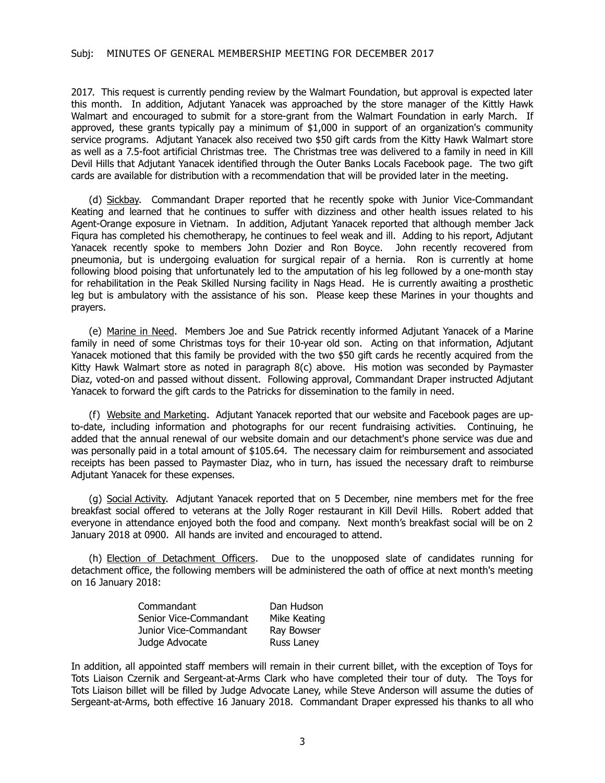2017. This request is currently pending review by the Walmart Foundation, but approval is expected later this month. In addition, Adjutant Yanacek was approached by the store manager of the Kittly Hawk Walmart and encouraged to submit for a store-grant from the Walmart Foundation in early March. If approved, these grants typically pay a minimum of \$1,000 in support of an organization's community service programs. Adjutant Yanacek also received two \$50 gift cards from the Kitty Hawk Walmart store as well as a 7.5-foot artificial Christmas tree. The Christmas tree was delivered to a family in need in Kill Devil Hills that Adjutant Yanacek identified through the Outer Banks Locals Facebook page. The two gift cards are available for distribution with a recommendation that will be provided later in the meeting.

(d) Sickbay. Commandant Draper reported that he recently spoke with Junior Vice-Commandant Keating and learned that he continues to suffer with dizziness and other health issues related to his Agent-Orange exposure in Vietnam. In addition, Adjutant Yanacek reported that although member Jack Fiqura has completed his chemotherapy, he continues to feel weak and ill. Adding to his report, Adjutant Yanacek recently spoke to members John Dozier and Ron Boyce. John recently recovered from pneumonia, but is undergoing evaluation for surgical repair of a hernia. Ron is currently at home following blood poising that unfortunately led to the amputation of his leg followed by a one-month stay for rehabilitation in the Peak Skilled Nursing facility in Nags Head. He is currently awaiting a prosthetic leg but is ambulatory with the assistance of his son. Please keep these Marines in your thoughts and prayers.

(e) Marine in Need. Members Joe and Sue Patrick recently informed Adjutant Yanacek of a Marine family in need of some Christmas toys for their 10-year old son. Acting on that information, Adjutant Yanacek motioned that this family be provided with the two \$50 gift cards he recently acquired from the Kitty Hawk Walmart store as noted in paragraph  $8(c)$  above. His motion was seconded by Paymaster Diaz, voted-on and passed without dissent. Following approval, Commandant Draper instructed Adjutant Yanacek to forward the gift cards to the Patricks for dissemination to the family in need.

(f) Website and Marketing. Adjutant Yanacek reported that our website and Facebook pages are upto-date, including information and photographs for our recent fundraising activities. Continuing, he added that the annual renewal of our website domain and our detachment's phone service was due and was personally paid in a total amount of \$105.64. The necessary claim for reimbursement and associated receipts has been passed to Paymaster Diaz, who in turn, has issued the necessary draft to reimburse Adjutant Yanacek for these expenses.

(g) Social Activity. Adjutant Yanacek reported that on 5 December, nine members met for the free breakfast social offered to veterans at the Jolly Roger restaurant in Kill Devil Hills. Robert added that everyone in attendance enjoyed both the food and company. Next month's breakfast social will be on 2 January 2018 at 0900. All hands are invited and encouraged to attend.

(h) Election of Detachment Officers. Due to the unopposed slate of candidates running for detachment office, the following members will be administered the oath of office at next month's meeting on 16 January 2018:

| Commandant             | Dan Hudson   |
|------------------------|--------------|
| Senior Vice-Commandant | Mike Keating |
| Junior Vice-Commandant | Ray Bowser   |
| Judge Advocate         | Russ Laney   |

In addition, all appointed staff members will remain in their current billet, with the exception of Toys for Tots Liaison Czernik and Sergeant-at-Arms Clark who have completed their tour of duty. The Toys for Tots Liaison billet will be filled by Judge Advocate Laney, while Steve Anderson will assume the duties of Sergeant-at-Arms, both effective 16 January 2018. Commandant Draper expressed his thanks to all who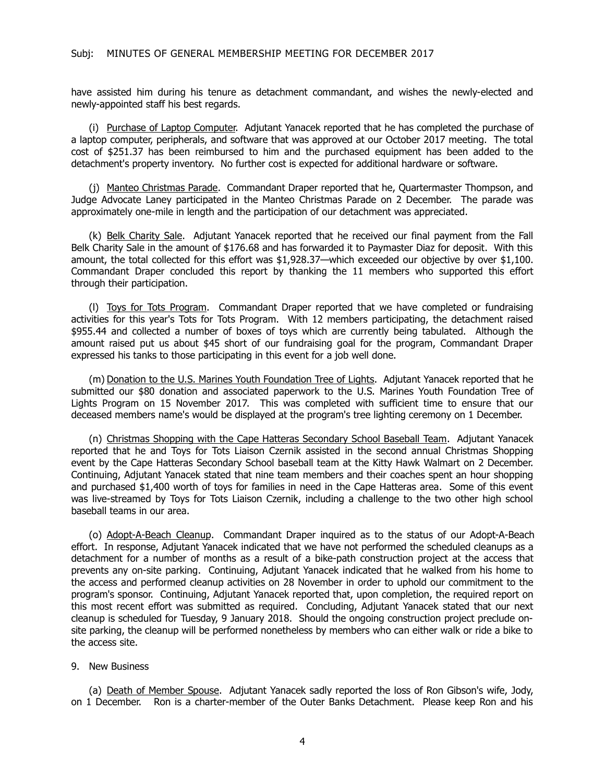have assisted him during his tenure as detachment commandant, and wishes the newly-elected and newly-appointed staff his best regards.

(i) Purchase of Laptop Computer. Adjutant Yanacek reported that he has completed the purchase of a laptop computer, peripherals, and software that was approved at our October 2017 meeting. The total cost of \$251.37 has been reimbursed to him and the purchased equipment has been added to the detachment's property inventory. No further cost is expected for additional hardware or software.

(j) Manteo Christmas Parade. Commandant Draper reported that he, Quartermaster Thompson, and Judge Advocate Laney participated in the Manteo Christmas Parade on 2 December. The parade was approximately one-mile in length and the participation of our detachment was appreciated.

(k) Belk Charity Sale. Adjutant Yanacek reported that he received our final payment from the Fall Belk Charity Sale in the amount of \$176.68 and has forwarded it to Paymaster Diaz for deposit. With this amount, the total collected for this effort was \$1,928.37—which exceeded our objective by over \$1,100. Commandant Draper concluded this report by thanking the 11 members who supported this effort through their participation.

(l) Toys for Tots Program. Commandant Draper reported that we have completed or fundraising activities for this year's Tots for Tots Program. With 12 members participating, the detachment raised \$955.44 and collected a number of boxes of toys which are currently being tabulated. Although the amount raised put us about \$45 short of our fundraising goal for the program, Commandant Draper expressed his tanks to those participating in this event for a job well done.

(m) Donation to the U.S. Marines Youth Foundation Tree of Lights. Adjutant Yanacek reported that he submitted our \$80 donation and associated paperwork to the U.S. Marines Youth Foundation Tree of Lights Program on 15 November 2017. This was completed with sufficient time to ensure that our deceased members name's would be displayed at the program's tree lighting ceremony on 1 December.

(n) Christmas Shopping with the Cape Hatteras Secondary School Baseball Team. Adjutant Yanacek reported that he and Toys for Tots Liaison Czernik assisted in the second annual Christmas Shopping event by the Cape Hatteras Secondary School baseball team at the Kitty Hawk Walmart on 2 December. Continuing, Adjutant Yanacek stated that nine team members and their coaches spent an hour shopping and purchased \$1,400 worth of toys for families in need in the Cape Hatteras area. Some of this event was live-streamed by Toys for Tots Liaison Czernik, including a challenge to the two other high school baseball teams in our area.

(o) Adopt-A-Beach Cleanup. Commandant Draper inquired as to the status of our Adopt-A-Beach effort. In response, Adjutant Yanacek indicated that we have not performed the scheduled cleanups as a detachment for a number of months as a result of a bike-path construction project at the access that prevents any on-site parking. Continuing, Adjutant Yanacek indicated that he walked from his home to the access and performed cleanup activities on 28 November in order to uphold our commitment to the program's sponsor. Continuing, Adjutant Yanacek reported that, upon completion, the required report on this most recent effort was submitted as required. Concluding, Adjutant Yanacek stated that our next cleanup is scheduled for Tuesday, 9 January 2018. Should the ongoing construction project preclude onsite parking, the cleanup will be performed nonetheless by members who can either walk or ride a bike to the access site.

#### 9. New Business

(a) Death of Member Spouse. Adjutant Yanacek sadly reported the loss of Ron Gibson's wife, Jody, on 1 December. Ron is a charter-member of the Outer Banks Detachment. Please keep Ron and his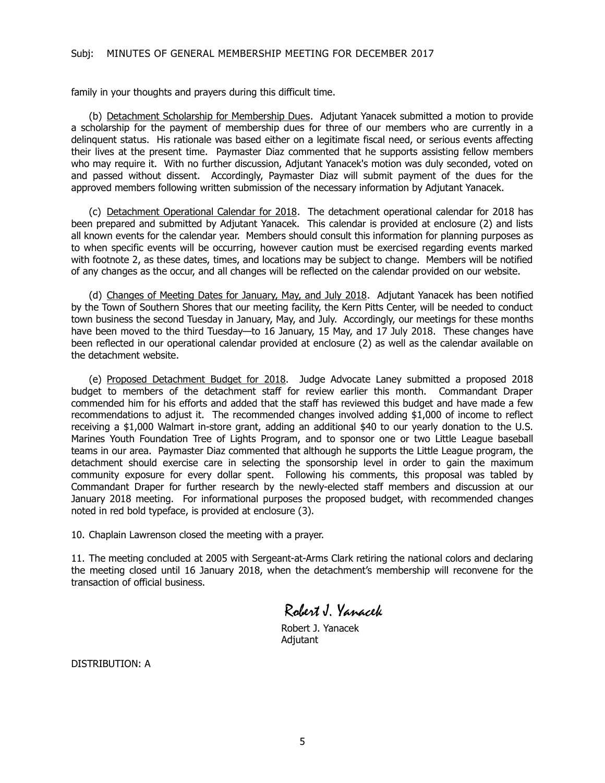family in your thoughts and prayers during this difficult time.

(b) Detachment Scholarship for Membership Dues. Adjutant Yanacek submitted a motion to provide a scholarship for the payment of membership dues for three of our members who are currently in a delinquent status. His rationale was based either on a legitimate fiscal need, or serious events affecting their lives at the present time. Paymaster Diaz commented that he supports assisting fellow members who may require it. With no further discussion, Adjutant Yanacek's motion was duly seconded, voted on and passed without dissent. Accordingly, Paymaster Diaz will submit payment of the dues for the approved members following written submission of the necessary information by Adjutant Yanacek.

(c) Detachment Operational Calendar for 2018. The detachment operational calendar for 2018 has been prepared and submitted by Adjutant Yanacek. This calendar is provided at enclosure (2) and lists all known events for the calendar year. Members should consult this information for planning purposes as to when specific events will be occurring, however caution must be exercised regarding events marked with footnote 2, as these dates, times, and locations may be subject to change. Members will be notified of any changes as the occur, and all changes will be reflected on the calendar provided on our website.

(d) Changes of Meeting Dates for January, May, and July 2018. Adjutant Yanacek has been notified by the Town of Southern Shores that our meeting facility, the Kern Pitts Center, will be needed to conduct town business the second Tuesday in January, May, and July. Accordingly, our meetings for these months have been moved to the third Tuesday—to 16 January, 15 May, and 17 July 2018. These changes have been reflected in our operational calendar provided at enclosure (2) as well as the calendar available on the detachment website.

(e) Proposed Detachment Budget for 2018. Judge Advocate Laney submitted a proposed 2018 budget to members of the detachment staff for review earlier this month. Commandant Draper commended him for his efforts and added that the staff has reviewed this budget and have made a few recommendations to adjust it. The recommended changes involved adding \$1,000 of income to reflect receiving a \$1,000 Walmart in-store grant, adding an additional \$40 to our yearly donation to the U.S. Marines Youth Foundation Tree of Lights Program, and to sponsor one or two Little League baseball teams in our area. Paymaster Diaz commented that although he supports the Little League program, the detachment should exercise care in selecting the sponsorship level in order to gain the maximum community exposure for every dollar spent. Following his comments, this proposal was tabled by Commandant Draper for further research by the newly-elected staff members and discussion at our January 2018 meeting. For informational purposes the proposed budget, with recommended changes noted in red bold typeface, is provided at enclosure (3).

10. Chaplain Lawrenson closed the meeting with a prayer.

11. The meeting concluded at 2005 with Sergeant-at-Arms Clark retiring the national colors and declaring the meeting closed until 16 January 2018, when the detachment's membership will reconvene for the transaction of official business.

Robert J. Yanacek

Robert J. Yanacek Adjutant

DISTRIBUTION: A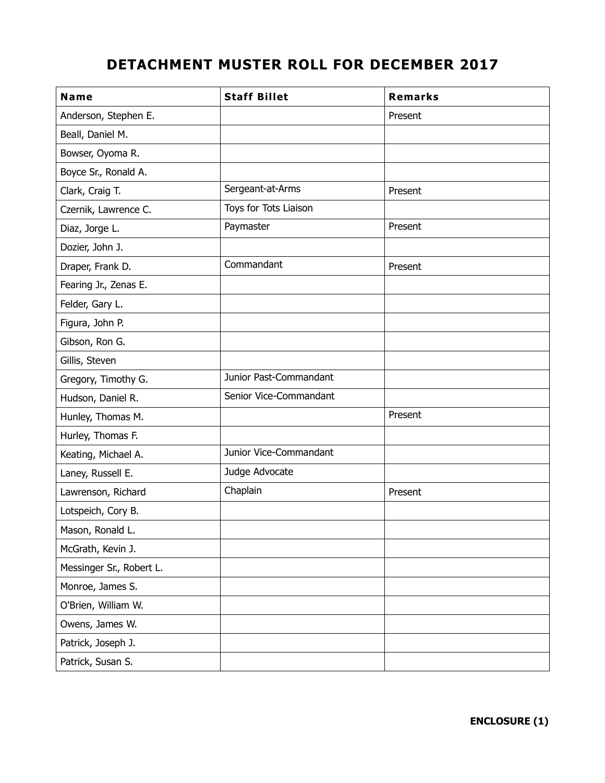# **DETACHMENT MUSTER ROLL FOR DECEMBER 2017**

| Name                     | <b>Staff Billet</b>    | <b>Remarks</b> |
|--------------------------|------------------------|----------------|
| Anderson, Stephen E.     |                        | Present        |
| Beall, Daniel M.         |                        |                |
| Bowser, Oyoma R.         |                        |                |
| Boyce Sr., Ronald A.     |                        |                |
| Clark, Craig T.          | Sergeant-at-Arms       | Present        |
| Czernik, Lawrence C.     | Toys for Tots Liaison  |                |
| Diaz, Jorge L.           | Paymaster              | Present        |
| Dozier, John J.          |                        |                |
| Draper, Frank D.         | Commandant             | Present        |
| Fearing Jr., Zenas E.    |                        |                |
| Felder, Gary L.          |                        |                |
| Figura, John P.          |                        |                |
| Gibson, Ron G.           |                        |                |
| Gillis, Steven           |                        |                |
| Gregory, Timothy G.      | Junior Past-Commandant |                |
| Hudson, Daniel R.        | Senior Vice-Commandant |                |
| Hunley, Thomas M.        |                        | Present        |
| Hurley, Thomas F.        |                        |                |
| Keating, Michael A.      | Junior Vice-Commandant |                |
| Laney, Russell E.        | Judge Advocate         |                |
| Lawrenson, Richard       | Chaplain               | Present        |
| Lotspeich, Cory B.       |                        |                |
| Mason, Ronald L.         |                        |                |
| McGrath, Kevin J.        |                        |                |
| Messinger Sr., Robert L. |                        |                |
| Monroe, James S.         |                        |                |
| O'Brien, William W.      |                        |                |
| Owens, James W.          |                        |                |
| Patrick, Joseph J.       |                        |                |
| Patrick, Susan S.        |                        |                |

**ENCLOSURE (1)**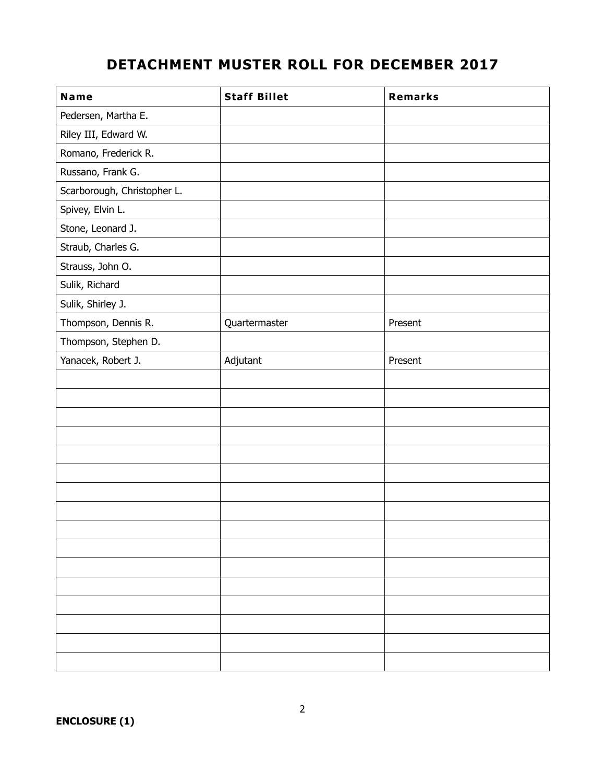# **DETACHMENT MUSTER ROLL FOR DECEMBER 2017**

| Name                        | <b>Staff Billet</b> | <b>Remarks</b> |
|-----------------------------|---------------------|----------------|
| Pedersen, Martha E.         |                     |                |
| Riley III, Edward W.        |                     |                |
| Romano, Frederick R.        |                     |                |
| Russano, Frank G.           |                     |                |
| Scarborough, Christopher L. |                     |                |
| Spivey, Elvin L.            |                     |                |
| Stone, Leonard J.           |                     |                |
| Straub, Charles G.          |                     |                |
| Strauss, John O.            |                     |                |
| Sulik, Richard              |                     |                |
| Sulik, Shirley J.           |                     |                |
| Thompson, Dennis R.         | Quartermaster       | Present        |
| Thompson, Stephen D.        |                     |                |
| Yanacek, Robert J.          | Adjutant            | Present        |
|                             |                     |                |
|                             |                     |                |
|                             |                     |                |
|                             |                     |                |
|                             |                     |                |
|                             |                     |                |
|                             |                     |                |
|                             |                     |                |
|                             |                     |                |
|                             |                     |                |
|                             |                     |                |
|                             |                     |                |
|                             |                     |                |
|                             |                     |                |
|                             |                     |                |
|                             |                     |                |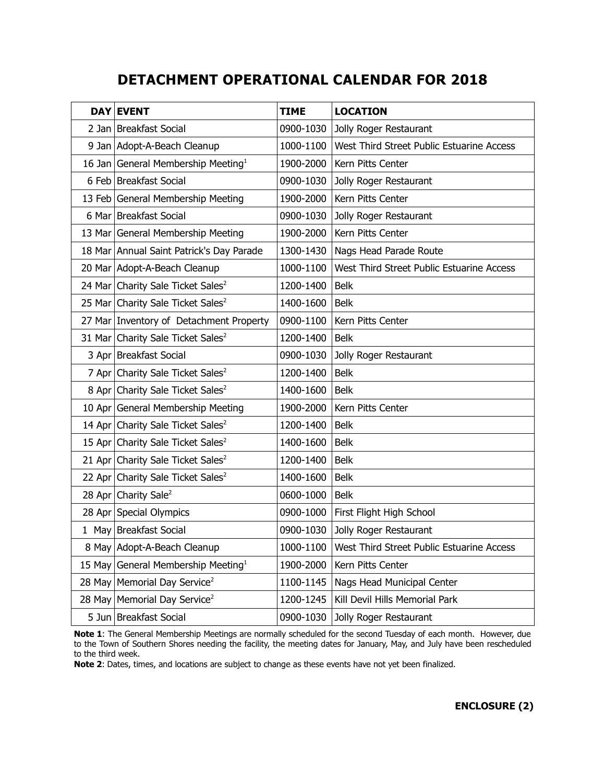# **DETACHMENT OPERATIONAL CALENDAR FOR 2018**

|        | <b>DAY EVENT</b>                               | <b>TIME</b> | <b>LOCATION</b>                           |
|--------|------------------------------------------------|-------------|-------------------------------------------|
|        | 2 Jan   Breakfast Social                       | 0900-1030   | Jolly Roger Restaurant                    |
|        | 9 Jan   Adopt-A-Beach Cleanup                  | 1000-1100   | West Third Street Public Estuarine Access |
|        | 16 Jan General Membership Meeting <sup>1</sup> | 1900-2000   | Kern Pitts Center                         |
|        | 6 Feb Breakfast Social                         | 0900-1030   | Jolly Roger Restaurant                    |
|        | 13 Feb General Membership Meeting              | 1900-2000   | Kern Pitts Center                         |
|        | 6 Mar Breakfast Social                         | 0900-1030   | Jolly Roger Restaurant                    |
|        | 13 Mar General Membership Meeting              | 1900-2000   | Kern Pitts Center                         |
|        | 18 Mar Annual Saint Patrick's Day Parade       | 1300-1430   | Nags Head Parade Route                    |
|        | 20 Mar Adopt-A-Beach Cleanup                   | 1000-1100   | West Third Street Public Estuarine Access |
|        | 24 Mar Charity Sale Ticket Sales <sup>2</sup>  | 1200-1400   | <b>Belk</b>                               |
|        | 25 Mar Charity Sale Ticket Sales <sup>2</sup>  | 1400-1600   | <b>Belk</b>                               |
|        | 27 Mar Inventory of Detachment Property        | 0900-1100   | Kern Pitts Center                         |
|        | 31 Mar Charity Sale Ticket Sales <sup>2</sup>  | 1200-1400   | <b>Belk</b>                               |
|        | 3 Apr Breakfast Social                         | 0900-1030   | Jolly Roger Restaurant                    |
|        | 7 Apr Charity Sale Ticket Sales <sup>2</sup>   | 1200-1400   | <b>Belk</b>                               |
|        | 8 Apr Charity Sale Ticket Sales <sup>2</sup>   | 1400-1600   | <b>Belk</b>                               |
|        | 10 Apr General Membership Meeting              | 1900-2000   | Kern Pitts Center                         |
|        | 14 Apr Charity Sale Ticket Sales <sup>2</sup>  | 1200-1400   | <b>Belk</b>                               |
|        | 15 Apr Charity Sale Ticket Sales <sup>2</sup>  | 1400-1600   | <b>Belk</b>                               |
|        | 21 Apr Charity Sale Ticket Sales <sup>2</sup>  | 1200-1400   | <b>Belk</b>                               |
|        | 22 Apr Charity Sale Ticket Sales <sup>2</sup>  | 1400-1600   | <b>Belk</b>                               |
|        | 28 Apr Charity Sale <sup>2</sup>               | 0600-1000   | <b>Belk</b>                               |
|        | 28 Apr Special Olympics                        | 0900-1000   | First Flight High School                  |
|        | 1 May Breakfast Social                         | 0900-1030   | Jolly Roger Restaurant                    |
|        | 8 May Adopt-A-Beach Cleanup                    | 1000-1100   | West Third Street Public Estuarine Access |
| 15 May | General Membership Meeting <sup>1</sup>        | 1900-2000   | Kern Pitts Center                         |
| 28 May | Memorial Day Service <sup>2</sup>              | 1100-1145   | Nags Head Municipal Center                |
| 28 May | Memorial Day Service <sup>2</sup>              | 1200-1245   | Kill Devil Hills Memorial Park            |
|        | 5 Jun   Breakfast Social                       | 0900-1030   | Jolly Roger Restaurant                    |

**Note 1**: The General Membership Meetings are normally scheduled for the second Tuesday of each month. However, due to the Town of Southern Shores needing the facility, the meeting dates for January, May, and July have been rescheduled to the third week.

**Note 2**: Dates, times, and locations are subject to change as these events have not yet been finalized.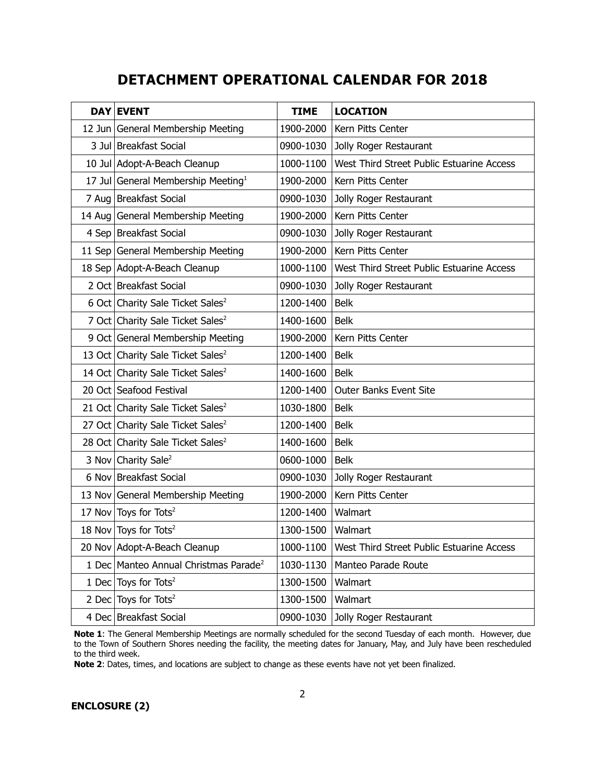## **DETACHMENT OPERATIONAL CALENDAR FOR 2018**

| <b>DAY EVENT</b>                                  | <b>TIME</b> | <b>LOCATION</b>                           |
|---------------------------------------------------|-------------|-------------------------------------------|
| 12 Jun General Membership Meeting                 | 1900-2000   | Kern Pitts Center                         |
| 3 Jul Breakfast Social                            | 0900-1030   | Jolly Roger Restaurant                    |
| 10 Jul Adopt-A-Beach Cleanup                      | 1000-1100   | West Third Street Public Estuarine Access |
| 17 Jul General Membership Meeting <sup>1</sup>    | 1900-2000   | Kern Pitts Center                         |
| 7 Aug Breakfast Social                            | 0900-1030   | Jolly Roger Restaurant                    |
| 14 Aug General Membership Meeting                 | 1900-2000   | Kern Pitts Center                         |
| 4 Sep Breakfast Social                            | 0900-1030   | Jolly Roger Restaurant                    |
| 11 Sep General Membership Meeting                 | 1900-2000   | Kern Pitts Center                         |
| 18 Sep Adopt-A-Beach Cleanup                      | 1000-1100   | West Third Street Public Estuarine Access |
| 2 Oct Breakfast Social                            | 0900-1030   | Jolly Roger Restaurant                    |
| 6 Oct Charity Sale Ticket Sales <sup>2</sup>      | 1200-1400   | <b>Belk</b>                               |
| 7 Oct Charity Sale Ticket Sales <sup>2</sup>      | 1400-1600   | <b>Belk</b>                               |
| 9 Oct General Membership Meeting                  | 1900-2000   | Kern Pitts Center                         |
| 13 Oct Charity Sale Ticket Sales <sup>2</sup>     | 1200-1400   | <b>Belk</b>                               |
| 14 Oct Charity Sale Ticket Sales <sup>2</sup>     | 1400-1600   | <b>Belk</b>                               |
| 20 Oct Seafood Festival                           | 1200-1400   | <b>Outer Banks Event Site</b>             |
| 21 Oct Charity Sale Ticket Sales <sup>2</sup>     | 1030-1800   | <b>Belk</b>                               |
| 27 Oct Charity Sale Ticket Sales <sup>2</sup>     | 1200-1400   | <b>Belk</b>                               |
| 28 Oct Charity Sale Ticket Sales <sup>2</sup>     | 1400-1600   | <b>Belk</b>                               |
| 3 Nov Charity Sale <sup>2</sup>                   | 0600-1000   | <b>Belk</b>                               |
| 6 Nov Breakfast Social                            | 0900-1030   | Jolly Roger Restaurant                    |
| 13 Nov General Membership Meeting                 | 1900-2000   | Kern Pitts Center                         |
| 17 Nov Toys for Tots <sup>2</sup>                 | 1200-1400   | Walmart                                   |
| 18 Nov Toys for Tots <sup>2</sup>                 | 1300-1500   | Walmart                                   |
| 20 Nov Adopt-A-Beach Cleanup                      | 1000-1100   | West Third Street Public Estuarine Access |
| 1 Dec Manteo Annual Christmas Parade <sup>2</sup> | 1030-1130   | Manteo Parade Route                       |
| 1 Dec Toys for Tots <sup>2</sup>                  | 1300-1500   | Walmart                                   |
| 2 Dec Toys for Tots <sup>2</sup>                  | 1300-1500   | Walmart                                   |
| 4 Dec Breakfast Social                            | 0900-1030   | Jolly Roger Restaurant                    |

**Note 1**: The General Membership Meetings are normally scheduled for the second Tuesday of each month. However, due to the Town of Southern Shores needing the facility, the meeting dates for January, May, and July have been rescheduled to the third week.

**Note 2**: Dates, times, and locations are subject to change as these events have not yet been finalized.

**ENCLOSURE (2)**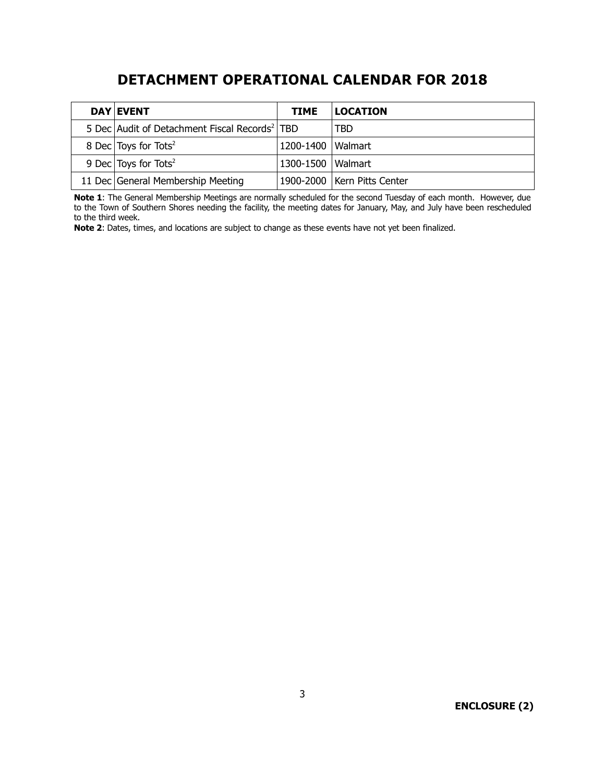# **DETACHMENT OPERATIONAL CALENDAR FOR 2018**

| <b>DAY EVENT</b>                                          | <b>TIME</b>         | <b>LOCATION</b>               |
|-----------------------------------------------------------|---------------------|-------------------------------|
| 5 Dec Audit of Detachment Fiscal Records <sup>2</sup> TBD |                     | TBD                           |
| 8 Dec Toys for Tots <sup>2</sup>                          | 1200-1400   Walmart |                               |
| 9 Dec Toys for Tots <sup>2</sup>                          | 1300-1500   Walmart |                               |
| 11 Dec General Membership Meeting                         |                     | 1900-2000   Kern Pitts Center |

**Note 1**: The General Membership Meetings are normally scheduled for the second Tuesday of each month. However, due to the Town of Southern Shores needing the facility, the meeting dates for January, May, and July have been rescheduled to the third week.

**Note 2**: Dates, times, and locations are subject to change as these events have not yet been finalized.

**ENCLOSURE (2)**